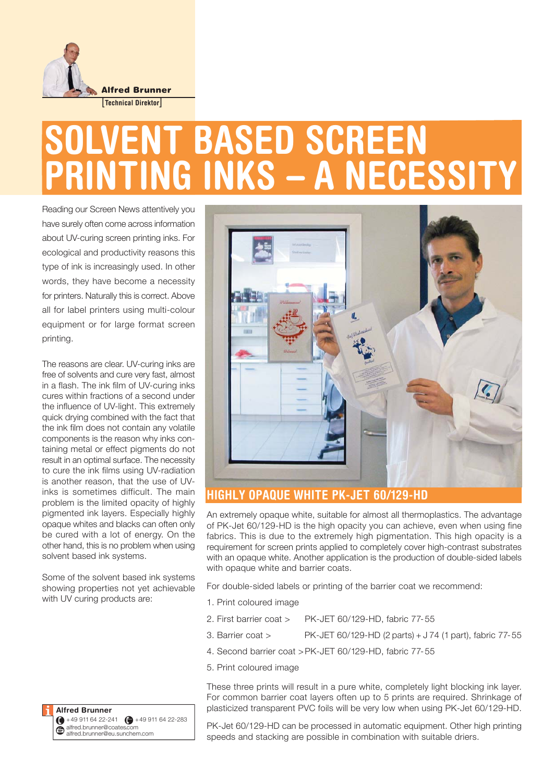

# **SOLVENT BASED SCREEN PRINTING INKS – A NECESSITY**

Reading our Screen News attentively you have surely often come across information about UV-curing screen printing inks. For ecological and productivity reasons this type of ink is increasingly used. In other words, they have become a necessity for printers. Naturally this is correct. Above all for label printers using multi-colour equipment or for large format screen printing.

The reasons are clear. UV-curing inks are free of solvents and cure very fast, almost in a flash. The ink film of UV-curing inks cures within fractions of a second under the influence of UV-light. This extremely quick drying combined with the fact that the ink film does not contain any volatile components is the reason why inks containing metal or effect pigments do not result in an optimal surface. The necessity to cure the ink films using UV-radiation is another reason, that the use of UVinks is sometimes difficult. The main problem is the limited opacity of highly pigmented ink layers. Especially highly opaque whites and blacks can often only be cured with a lot of energy. On the other hand, this is no problem when using solvent based ink systems.

Some of the solvent based ink systems showing properties not yet achievable with UV curing products are:





# **HIGHLY OPAQUE WHITE PK-JET 60/129-HD**

An extremely opaque white, suitable for almost all thermoplastics. The advantage of PK-Jet 60/129-HD is the high opacity you can achieve, even when using fine fabrics. This is due to the extremely high pigmentation. This high opacity is a requirement for screen prints applied to completely cover high-contrast substrates with an opaque white. Another application is the production of double-sided labels with opaque white and barrier coats.

For double-sided labels or printing of the barrier coat we recommend:

- 1. Print coloured image
- 2. First barrier coat > PK-JET 60/129-HD, fabric 77-55
- 3. Barrier coat > PK-JET 60/129-HD (2 parts) + J 74 (1 part), fabric 77-55
- 4. Second barrier coat >PK-JET 60/129-HD, fabric 77-55
- 5. Print coloured image

These three prints will result in a pure white, completely light blocking ink layer. For common barrier coat layers often up to 5 prints are required. Shrinkage of plasticized transparent PVC foils will be very low when using PK-Jet 60/129-HD.

PK-Jet 60/129-HD can be processed in automatic equipment. Other high printing speeds and stacking are possible in combination with suitable driers.